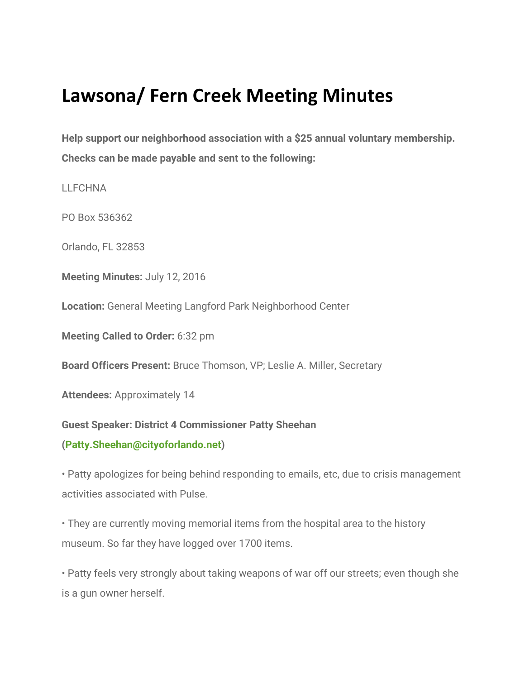# **Lawsona/ Fern Creek Meeting Minutes**

**Help support our neighborhood association with a \$25 annual voluntary membership. Checks can be made payable and sent to the following:**

LLFCHNA

PO Box 536362

Orlando, FL 32853

**Meeting Minutes:** July 12, 2016

**Location:** General Meeting Langford Park Neighborhood Center

**Meeting Called to Order:** 6:32 pm

**Board Officers Present:** Bruce Thomson, VP; Leslie A. Miller, Secretary

**Attendees:** Approximately 14

#### **Guest Speaker: District 4 Commissioner Patty Sheehan**

#### **(Patty.Sheehan@cityoforlando.net)**

• Patty apologizes for being behind responding to emails, etc, due to crisis management activities associated with Pulse.

• They are currently moving memorial items from the hospital area to the history museum. So far they have logged over 1700 items.

• Patty feels very strongly about taking weapons of war off our streets; even though she is a gun owner herself.